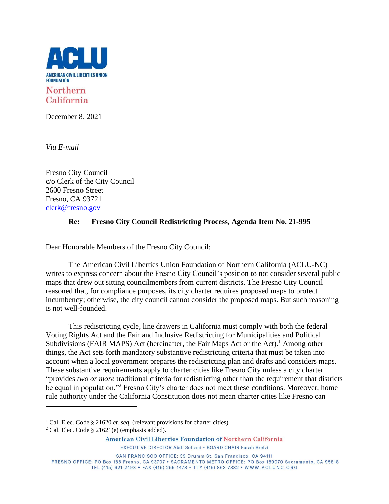

December 8, 2021

*Via E-mail*

Fresno City Council c/o Clerk of the City Council 2600 Fresno Street Fresno, CA 93721 [clerk@fresno.gov](mailto:clerk@fresno.gov)

## **Re: Fresno City Council Redistricting Process, Agenda Item No. 21-995**

Dear Honorable Members of the Fresno City Council:

The American Civil Liberties Union Foundation of Northern California (ACLU-NC) writes to express concern about the Fresno City Council's position to not consider several public maps that drew out sitting councilmembers from current districts. The Fresno City Council reasoned that, for compliance purposes, its city charter requires proposed maps to protect incumbency; otherwise, the city council cannot consider the proposed maps. But such reasoning is not well-founded.

This redistricting cycle, line drawers in California must comply with both the federal Voting Rights Act and the Fair and Inclusive Redistricting for Municipalities and Political Subdivisions (FAIR MAPS) Act (hereinafter, the Fair Maps Act or the Act).<sup>1</sup> Among other things, the Act sets forth mandatory substantive redistricting criteria that must be taken into account when a local government prepares the redistricting plan and drafts and considers maps. These substantive requirements apply to charter cities like Fresno City unless a city charter "provides *two or more* traditional criteria for redistricting other than the requirement that districts be equal in population."<sup>2</sup> Fresno City's charter does not meet these conditions. Moreover, home rule authority under the California Constitution does not mean charter cities like Fresno can

American Civil Liberties Foundation of Northern California

<sup>&</sup>lt;sup>1</sup> Cal. Elec. Code § 21620 *et. seq.* (relevant provisions for charter cities).

 $2$  Cal. Elec. Code § 21621(e) (emphasis added).

EXECUTIVE DIRECTOR Abdi Soltani . BOARD CHAIR Farah Brelvi

SAN FRANCISCO OFFICE: 39 Drumm St. San Francisco, CA 94111 FRESNO OFFICE: PO Box 188 Fresno, CA 93707 · SACRAMENTO METRO OFFICE: PO Box 189070 Sacramento, CA 95818 TEL (415) 621-2493 · FAX (415) 255-1478 · TTY (415) 863-7832 · WWW.ACLUNC.ORG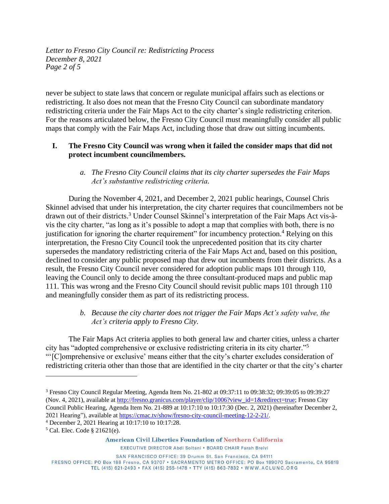*Letter to Fresno City Council re: Redistricting Process December 8, 2021 Page 2 of 5*

never be subject to state laws that concern or regulate municipal affairs such as elections or redistricting. It also does not mean that the Fresno City Council can subordinate mandatory redistricting criteria under the Fair Maps Act to the city charter's single redistricting criterion. For the reasons articulated below, the Fresno City Council must meaningfully consider all public maps that comply with the Fair Maps Act, including those that draw out sitting incumbents.

## **I. The Fresno City Council was wrong when it failed the consider maps that did not protect incumbent councilmembers.**

## *a. The Fresno City Council claims that its city charter supersedes the Fair Maps Act's substantive redistricting criteria.*

During the November 4, 2021, and December 2, 2021 public hearings, Counsel Chris Skinnel advised that under his interpretation, the city charter requires that councilmembers not be drawn out of their districts. <sup>3</sup> Under Counsel Skinnel's interpretation of the Fair Maps Act vis-àvis the city charter, "as long as it's possible to adopt a map that complies with both, there is no justification for ignoring the charter requirement" for incumbency protection.<sup>4</sup> Relying on this interpretation, the Fresno City Council took the unprecedented position that its city charter supersedes the mandatory redistricting criteria of the Fair Maps Act and, based on this position, declined to consider any public proposed map that drew out incumbents from their districts. As a result, the Fresno City Council never considered for adoption public maps 101 through 110, leaving the Council only to decide among the three consultant-produced maps and public map 111. This was wrong and the Fresno City Council should revisit public maps 101 through 110 and meaningfully consider them as part of its redistricting process.

# *b. Because the city charter does not trigger the Fair Maps Act's safety valve, the Act's criteria apply to Fresno City.*

The Fair Maps Act criteria applies to both general law and charter cities, unless a charter city has "adopted comprehensive or exclusive redistricting criteria in its city charter."<sup>5</sup> "'[C]omprehensive or exclusive' means either that the city's charter excludes consideration of redistricting criteria other than those that are identified in the city charter or that the city's charter

American Civil Liberties Foundation of Northern California

EXECUTIVE DIRECTOR Abdi Soltani . BOARD CHAIR Farah Brelvi

<sup>3</sup> Fresno City Council Regular Meeting, Agenda Item No. 21-802 at 09:37:11 to 09:38:32; 09:39:05 to 09:39:27 (Nov. 4, 2021), available at [http://fresno.granicus.com/player/clip/1006?view\\_id=1&redirect=true;](http://fresno.granicus.com/player/clip/1006?view_id=1&redirect=true) Fresno City Council Public Hearing, Agenda Item No. 21-889 at 10:17:10 to 10:17:30 (Dec. 2, 2021) (hereinafter December 2, 2021 Hearing"), available at [https://cmac.tv/show/fresno-city-council-meeting-12-2-21/.](https://cmac.tv/show/fresno-city-council-meeting-12-2-21/)

<sup>4</sup> December 2, 2021 Hearing at 10:17:10 to 10:17:28.

<sup>5</sup> Cal. Elec. Code § 21621(e).

SAN FRANCISCO OFFICE: 39 Drumm St. San Francisco, CA 94111 FRESNO OFFICE: PO Box 188 Fresno, CA 93707 · SACRAMENTO METRO OFFICE: PO Box 189070 Sacramento, CA 95818 TEL (415) 621-2493 · FAX (415) 255-1478 · TTY (415) 863-7832 · WWW.ACLUNC.ORG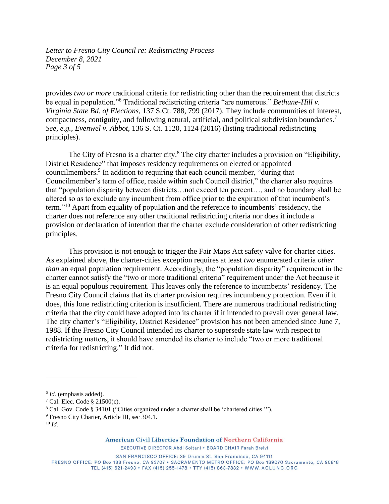*Letter to Fresno City Council re: Redistricting Process December 8, 2021 Page 3 of 5*

provides *two or more* traditional criteria for redistricting other than the requirement that districts be equal in population."<sup>6</sup> Traditional redistricting criteria "are numerous." *Bethune-Hill v. Virginia State Bd. of Elections*, 137 S.Ct. 788, 799 (2017). They include communities of interest, compactness, contiguity, and following natural, artificial, and political subdivision boundaries.<sup>7</sup> *See, e.g.*, *Evenwel v. Abbot*, 136 S. Ct. 1120, 1124 (2016) (listing traditional redistricting principles).

The City of Fresno is a charter city.<sup>8</sup> The city charter includes a provision on "Eligibility, District Residence" that imposes residency requirements on elected or appointed councilmembers.<sup>9</sup> In addition to requiring that each council member, "during that Councilmember's term of office, reside within such Council district," the charter also requires that "population disparity between districts…not exceed ten percent…, and no boundary shall be altered so as to exclude any incumbent from office prior to the expiration of that incumbent's term."<sup>10</sup> Apart from equality of population and the reference to incumbents' residency, the charter does not reference any other traditional redistricting criteria nor does it include a provision or declaration of intention that the charter exclude consideration of other redistricting principles.

This provision is not enough to trigger the Fair Maps Act safety valve for charter cities. As explained above, the charter-cities exception requires at least *two* enumerated criteria *other than* an equal population requirement. Accordingly, the "population disparity" requirement in the charter cannot satisfy the "two or more traditional criteria" requirement under the Act because it is an equal populous requirement. This leaves only the reference to incumbents' residency. The Fresno City Council claims that its charter provision requires incumbency protection. Even if it does, this lone redistricting criterion is insufficient. There are numerous traditional redistricting criteria that the city could have adopted into its charter if it intended to prevail over general law. The city charter's "Eligibility, District Residence" provision has not been amended since June 7, 1988. If the Fresno City Council intended its charter to supersede state law with respect to redistricting matters, it should have amended its charter to include "two or more traditional criteria for redistricting." It did not.

American Civil Liberties Foundation of Northern California

EXECUTIVE DIRECTOR Abdi Soltani . BOARD CHAIR Farah Brelvi

SAN FRANCISCO OFFICE: 39 Drumm St. San Francisco, CA 94111 FRESNO OFFICE: PO Box 188 Fresno, CA 93707 · SACRAMENTO METRO OFFICE: PO Box 189070 Sacramento, CA 95818 TEL (415) 621-2493 · FAX (415) 255-1478 · TTY (415) 863-7832 · WWW.ACLUNC.ORG

<sup>6</sup> *Id.* (emphasis added).

 $7$  Cal. Elec. Code  $\S$  21500(c).

<sup>8</sup> Cal. Gov. Code § 34101 ("Cities organized under a charter shall be 'chartered cities.'").

<sup>9</sup> Fresno City Charter, Article III, sec 304.1.

<sup>10</sup> *Id.*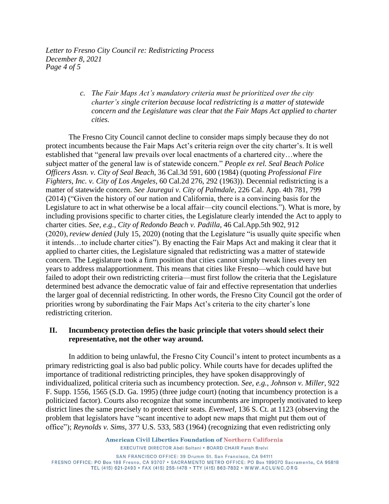*Letter to Fresno City Council re: Redistricting Process December 8, 2021 Page 4 of 5*

> *c. The Fair Maps Act's mandatory criteria must be prioritized over the city charter's single criterion because local redistricting is a matter of statewide concern and the Legislature was clear that the Fair Maps Act applied to charter cities.*

The Fresno City Council cannot decline to consider maps simply because they do not protect incumbents because the Fair Maps Act's criteria reign over the city charter's. It is well established that "general law prevails over local enactments of a chartered city…where the subject matter of the general law is of statewide concern." *People ex rel. Seal Beach Police Officers Assn. v. City of Seal Beach*, 36 Cal.3d 591, 600 (1984) (quoting *Professional Fire Fighters, Inc. v. City of Los Angeles*, 60 Cal.2d 276, 292 (1963)). Decennial redistricting is a matter of statewide concern. *See Jauregui v. City of Palmdale*, 226 Cal. App. 4th 781, 799 (2014) ("Given the history of our nation and California, there is a convincing basis for the Legislature to act in what otherwise be a local affair—city council elections."). What is more, by including provisions specific to charter cities, the Legislature clearly intended the Act to apply to charter cities. *See, e.g.*, *City of Redondo Beach v. Padilla*, 46 Cal.App.5th 902, 912 (2020), *review denied* (July 15, 2020) (noting that the Legislature "is usually quite specific when it intends…to include charter cities"). By enacting the Fair Maps Act and making it clear that it applied to charter cities, the Legislature signaled that redistricting was a matter of statewide concern. The Legislature took a firm position that cities cannot simply tweak lines every ten years to address malapportionment. This means that cities like Fresno—which could have but failed to adopt their own redistricting criteria—must first follow the criteria that the Legislature determined best advance the democratic value of fair and effective representation that underlies the larger goal of decennial redistricting. In other words, the Fresno City Council got the order of priorities wrong by subordinating the Fair Maps Act's criteria to the city charter's lone redistricting criterion.

#### **II. Incumbency protection defies the basic principle that voters should select their representative, not the other way around.**

In addition to being unlawful, the Fresno City Council's intent to protect incumbents as a primary redistricting goal is also bad public policy. While courts have for decades uplifted the importance of traditional redistricting principles, they have spoken disapprovingly of individualized, political criteria such as incumbency protection. *See, e.g.*, *Johnson v. Miller*, 922 F. Supp. 1556, 1565 (S.D. Ga. 1995) (three judge court) (noting that incumbency protection is a politicized factor). Courts also recognize that some incumbents are improperly motivated to keep district lines the same precisely to protect their seats. *Evenwel*, 136 S. Ct. at 1123 (observing the problem that legislators have "scant incentive to adopt new maps that might put them out of office"); *Reynolds v. Sims*, 377 U.S. 533, 583 (1964) (recognizing that even redistricting only

> American Civil Liberties Foundation of Northern California EXECUTIVE DIRECTOR Abdi Soltani . BOARD CHAIR Farah Brelvi